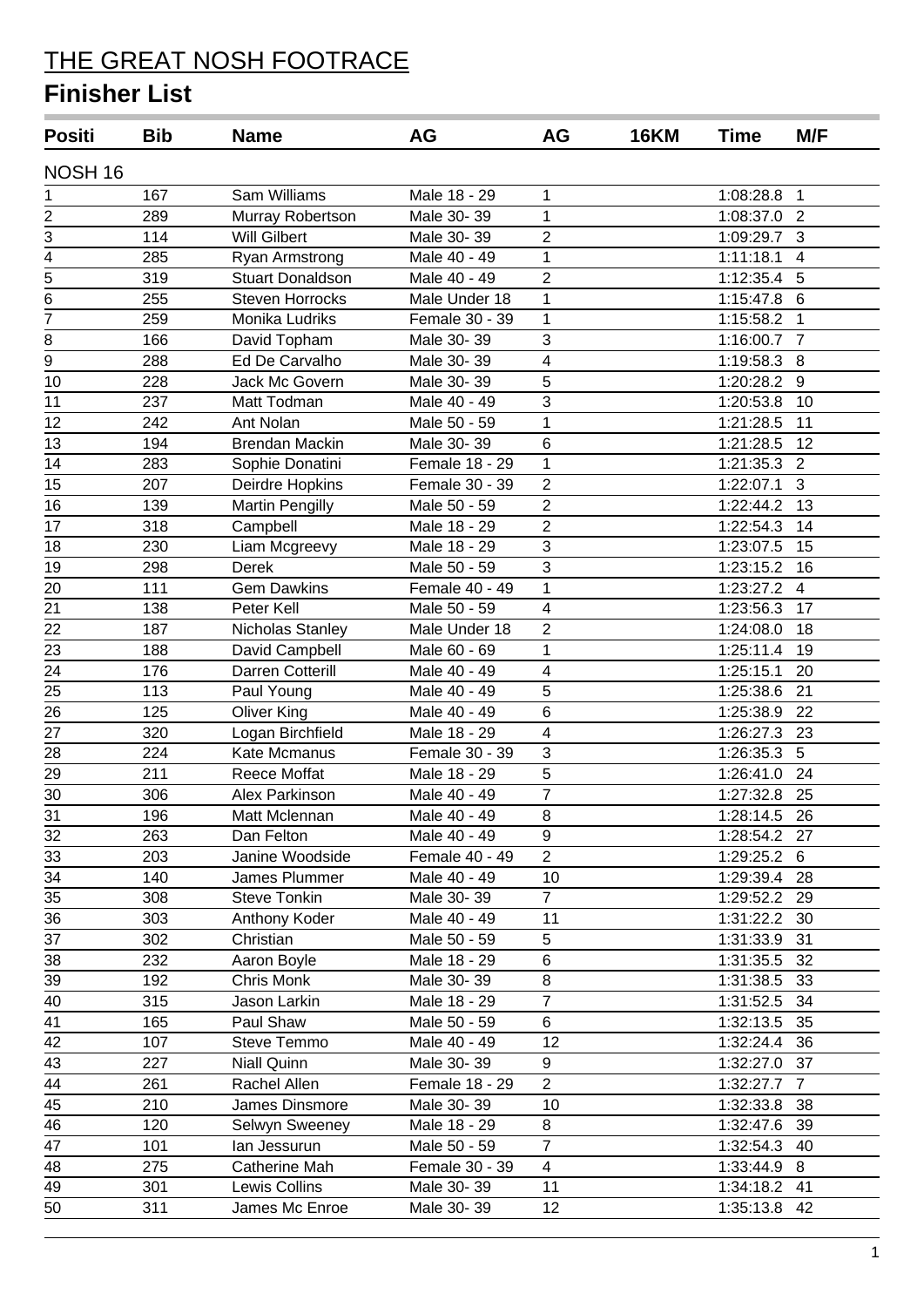| <b>Positi</b>   | <b>Bib</b> | <b>Name</b>             | AG             | AG                      | <b>16KM</b> | Time         | M/F            |
|-----------------|------------|-------------------------|----------------|-------------------------|-------------|--------------|----------------|
| NOSH 16         |            |                         |                |                         |             |              |                |
| 1               | 167        | Sam Williams            | Male 18 - 29   | 1                       |             | 1:08:28.8    | $\mathbf{1}$   |
| 2               | 289        | Murray Robertson        | Male 30-39     | $\mathbf{1}$            |             | 1:08:37.0    | $\overline{2}$ |
| 3               | 114        | <b>Will Gilbert</b>     | Male 30-39     | $\overline{2}$          |             | 1:09:29.7    | $\mathbf{3}$   |
| $\overline{4}$  | 285        | Ryan Armstrong          | Male 40 - 49   | $\mathbf{1}$            |             | 1:11:18.1    | $\overline{4}$ |
| $\overline{5}$  | 319        | <b>Stuart Donaldson</b> | Male 40 - 49   | $\overline{2}$          |             | 1:12:35.4    | 5              |
| $\overline{6}$  | 255        | <b>Steven Horrocks</b>  | Male Under 18  | 1                       |             | 1:15:47.8    | 6              |
| $\overline{7}$  | 259        | Monika Ludriks          | Female 30 - 39 | 1                       |             | 1:15:58.2    | 1              |
| 8               | 166        | David Topham            | Male 30-39     | 3                       |             | 1:16:00.7    | $\overline{7}$ |
| $\overline{9}$  | 288        | Ed De Carvalho          | Male 30-39     | $\overline{\mathbf{4}}$ |             | 1:19:58.3    | 8              |
| 10              | 228        | Jack Mc Govern          | Male 30-39     | 5                       |             | 1:20:28.2    | 9              |
| 11              | 237        | Matt Todman             | Male 40 - 49   | 3                       |             | 1:20:53.8    | 10             |
| 12              | 242        | Ant Nolan               | Male 50 - 59   | 1                       |             | 1:21:28.5    | 11             |
| 13              | 194        | <b>Brendan Mackin</b>   | Male 30-39     | 6                       |             | 1:21:28.5    | 12             |
| 14              | 283        | Sophie Donatini         | Female 18 - 29 | 1                       |             | 1:21:35.3    | 2              |
| $\overline{15}$ | 207        | Deirdre Hopkins         | Female 30 - 39 | $\overline{2}$          |             | 1:22:07.1    | 3              |
| 16              | 139        | <b>Martin Pengilly</b>  | Male 50 - 59   | $\overline{2}$          |             | 1:22:44.2    | 13             |
| 17              | 318        | Campbell                | Male 18 - 29   | $\overline{2}$          |             | 1:22:54.3    | 14             |
| 18              | 230        | Liam Mcgreevy           | Male 18 - 29   | 3                       |             | 1:23:07.5    | 15             |
| 19              | 298        | <b>Derek</b>            | Male 50 - 59   | 3                       |             | 1:23:15.2    | 16             |
| 20              | 111        | <b>Gem Dawkins</b>      | Female 40 - 49 | $\mathbf{1}$            |             | 1:23:27.2    | $\overline{4}$ |
| 21              | 138        | Peter Kell              | Male 50 - 59   | 4                       |             | 1:23:56.3    | 17             |
| 22              | 187        | Nicholas Stanley        | Male Under 18  | $\overline{2}$          |             | 1:24:08.0    | 18             |
| 23              | 188        | David Campbell          | Male 60 - 69   | 1                       |             | 1:25:11.4    | 19             |
| 24              | 176        | Darren Cotterill        | Male 40 - 49   | 4                       |             | 1:25:15.1    | 20             |
| 25              | 113        | Paul Young              | Male 40 - 49   | 5                       |             | 1:25:38.6    | 21             |
| 26              | 125        | <b>Oliver King</b>      | Male 40 - 49   | 6                       |             | 1:25:38.9    | 22             |
| 27              | 320        | Logan Birchfield        | Male 18 - 29   | $\overline{\mathbf{4}}$ |             | 1:26:27.3    | 23             |
| 28              | 224        | Kate Mcmanus            | Female 30 - 39 | 3                       |             | 1:26:35.3    | 5              |
| 29              | 211        | Reece Moffat            | Male 18 - 29   | 5                       |             | 1:26:41.0    | 24             |
| 30              | 306        | Alex Parkinson          | Male 40 - 49   | 7                       |             | 1:27:32.8    | 25             |
| 31              | 196        | Matt Mclennan           | Male 40 - 49   | 8                       |             | 1:28:14.5    | 26             |
| 32              | 263        | Dan Felton              | Male 40 - 49   | 9                       |             | 1:28:54.2 27 |                |
| 33              | 203        | Janine Woodside         | Female 40 - 49 | $\overline{2}$          |             | 1:29:25.2    | 6              |
| 34              | 140        | James Plummer           | Male 40 - 49   | 10                      |             | 1:29:39.4    | 28             |
| 35              | 308        | <b>Steve Tonkin</b>     | Male 30-39     | $\overline{7}$          |             | 1:29:52.2 29 |                |
| 36              | 303        | Anthony Koder           | Male 40 - 49   | 11                      |             | 1:31:22.2    | 30             |
| 37              | 302        | Christian               | Male 50 - 59   | 5                       |             | 1:31:33.9    | 31             |
| 38              | 232        | Aaron Boyle             | Male 18 - 29   | 6                       |             | 1:31:35.5    | 32             |
| 39              | 192        | Chris Monk              | Male 30-39     | 8                       |             | 1:31:38.5    | 33             |
| 40              | 315        | Jason Larkin            | Male 18 - 29   | $\overline{7}$          |             | 1:31:52.5    | 34             |
| 41              | 165        | Paul Shaw               | Male 50 - 59   | 6                       |             | 1:32:13.5    | 35             |
| 42              | 107        | Steve Temmo             | Male 40 - 49   | 12                      |             | 1:32:24.4    | 36             |
| 43              | 227        | <b>Niall Quinn</b>      | Male 30-39     | 9                       |             | 1:32:27.0    | 37             |
| 44              | 261        | Rachel Allen            | Female 18 - 29 | $\overline{2}$          |             | 1:32:27.7    | $\overline{7}$ |
| 45              | 210        | James Dinsmore          | Male 30-39     | 10                      |             | 1:32:33.8    | 38             |
| 46              | 120        | Selwyn Sweeney          | Male 18 - 29   | 8                       |             | 1:32:47.6    | 39             |
| 47              | 101        | lan Jessurun            | Male 50 - 59   | $\overline{7}$          |             | 1:32:54.3    | 40             |
| 48              | 275        | Catherine Mah           | Female 30 - 39 | $\overline{4}$          |             | 1:33:44.9    | 8              |
| 49              | 301        | Lewis Collins           | Male 30-39     | 11                      |             | 1:34:18.2    | 41             |
| 50              | 311        | James Mc Enroe          | Male 30-39     | 12                      |             | 1:35:13.8    | 42             |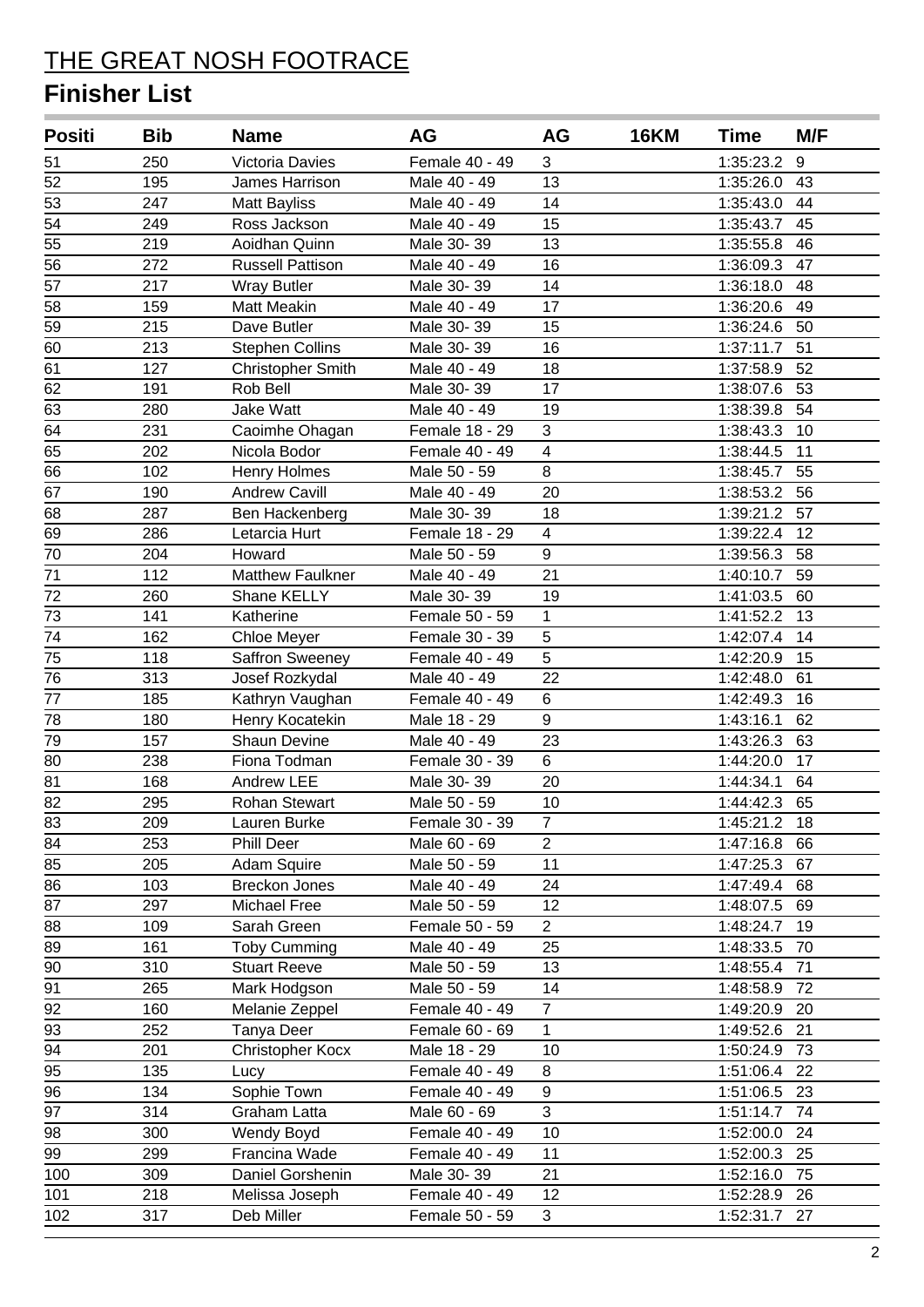| <b>Positi</b>   | <b>Bib</b> | <b>Name</b>              | AG             | AG                      | <b>16KM</b> | <b>Time</b>  | M/F |
|-----------------|------------|--------------------------|----------------|-------------------------|-------------|--------------|-----|
| 51              | 250        | Victoria Davies          | Female 40 - 49 | 3                       |             | 1:35:23.2    | 9   |
| 52              | 195        | James Harrison           | Male 40 - 49   | 13                      |             | 1:35:26.0    | 43  |
| 53              | 247        | <b>Matt Bayliss</b>      | Male 40 - 49   | 14                      |             | 1:35:43.0    | 44  |
| 54              | 249        | Ross Jackson             | Male 40 - 49   | 15                      |             | 1:35:43.7    | 45  |
| 55              | 219        | Aoidhan Quinn            | Male 30-39     | 13                      |             | 1:35:55.8    | 46  |
| 56              | 272        | <b>Russell Pattison</b>  | Male 40 - 49   | 16                      |             | 1:36:09.3    | 47  |
| 57              | 217        | <b>Wray Butler</b>       | Male 30-39     | 14                      |             | 1:36:18.0    | 48  |
| 58              | 159        | <b>Matt Meakin</b>       | Male 40 - 49   | 17                      |             | 1:36:20.6    | 49  |
| 59              | 215        | Dave Butler              | Male 30-39     | 15                      |             | 1:36:24.6    | 50  |
| 60              | 213        | <b>Stephen Collins</b>   | Male 30-39     | 16                      |             | 1:37:11.7    | 51  |
| 61              | 127        | <b>Christopher Smith</b> | Male 40 - 49   | 18                      |             | 1:37:58.9    | 52  |
| 62              | 191        | Rob Bell                 | Male 30-39     | 17                      |             | 1:38:07.6    | 53  |
| 63              | 280        | Jake Watt                | Male 40 - 49   | 19                      |             | 1:38:39.8    | 54  |
| 64              | 231        | Caoimhe Ohagan           | Female 18 - 29 | 3                       |             | 1:38:43.3    | 10  |
| 65              | 202        | Nicola Bodor             | Female 40 - 49 | $\overline{\mathbf{4}}$ |             | 1:38:44.5    | 11  |
| 66              | 102        | Henry Holmes             | Male 50 - 59   | 8                       |             | 1:38:45.7    | 55  |
| 67              | 190        | <b>Andrew Cavill</b>     | Male 40 - 49   | 20                      |             | 1:38:53.2    | 56  |
| 68              | 287        | Ben Hackenberg           | Male 30-39     | 18                      |             | 1:39:21.2    | 57  |
| 69              | 286        | Letarcia Hurt            | Female 18 - 29 | $\overline{\mathbf{4}}$ |             | 1:39:22.4    | 12  |
| 70              | 204        | Howard                   | Male 50 - 59   | 9                       |             | 1:39:56.3    | 58  |
| 71              | 112        | Matthew Faulkner         | Male 40 - 49   | 21                      |             | 1:40:10.7    | 59  |
| 72              | 260        | Shane KELLY              | Male 30-39     | 19                      |             | 1:41:03.5    | 60  |
| 73              | 141        | Katherine                | Female 50 - 59 | 1                       |             | 1:41:52.2    | 13  |
| 74              | 162        | Chloe Meyer              | Female 30 - 39 | 5                       |             | 1:42:07.4    | 14  |
| 75              | 118        | Saffron Sweeney          | Female 40 - 49 | 5                       |             | 1:42:20.9    | 15  |
| 76              | 313        | Josef Rozkydal           | Male 40 - 49   | 22                      |             | 1:42:48.0    | 61  |
| 77              | 185        | Kathryn Vaughan          | Female 40 - 49 | 6                       |             | 1:42:49.3    | 16  |
| 78              | 180        | Henry Kocatekin          | Male 18 - 29   | 9                       |             | 1:43:16.1    | 62  |
| 79              | 157        | Shaun Devine             | Male 40 - 49   | 23                      |             | 1:43:26.3    | 63  |
| 80              | 238        | Fiona Todman             | Female 30 - 39 | 6                       |             | 1:44:20.0    | 17  |
| 81              | 168        | Andrew LEE               | Male 30-39     | 20                      |             | 1:44:34.1    | 64  |
| $\overline{82}$ | 295        | <b>Rohan Stewart</b>     | Male 50 - 59   | 10                      |             | 1:44:42.3    | 65  |
| 83              | 209        | Lauren Burke             | Female 30 - 39 | 7                       |             | 1:45:21.2    | -18 |
| 84              | 253        | <b>Phill Deer</b>        | Male 60 - 69   | $\overline{2}$          |             | 1:47:16.8    | 66  |
| 85              | 205        | Adam Squire              | Male 50 - 59   | 11                      |             | 1:47:25.3    | 67  |
| 86              | 103        | <b>Breckon Jones</b>     | Male 40 - 49   | 24                      |             | 1:47:49.4    | 68  |
| 87              | 297        | Michael Free             | Male 50 - 59   | 12                      |             | 1:48:07.5    | 69  |
| 88              | 109        | Sarah Green              | Female 50 - 59 | 2 <sup>1</sup>          |             | 1:48:24.7    | 19  |
| 89              | 161        | <b>Toby Cumming</b>      | Male 40 - 49   | 25                      |             | 1:48:33.5    | 70  |
| 90              | 310        | <b>Stuart Reeve</b>      | Male 50 - 59   | 13                      |             | 1:48:55.4    | 71  |
| 91              | 265        | Mark Hodgson             | Male 50 - 59   | 14                      |             | 1:48:58.9    | 72  |
| 92              | 160        | Melanie Zeppel           | Female 40 - 49 | $\overline{7}$          |             | 1:49:20.9    | 20  |
| 93              | 252        | Tanya Deer               | Female 60 - 69 | $\mathbf{1}$            |             | 1:49:52.6    | 21  |
| 94              | 201        | Christopher Kocx         | Male 18 - 29   | 10                      |             | 1:50:24.9    | 73  |
| 95              | 135        | Lucy                     | Female 40 - 49 | 8                       |             | 1:51:06.4    | 22  |
| 96              | 134        | Sophie Town              | Female 40 - 49 | 9                       |             | 1:51:06.5    | -23 |
| 97              | 314        | Graham Latta             | Male 60 - 69   | 3                       |             | 1:51:14.7    | -74 |
| 98              | 300        | Wendy Boyd               | Female 40 - 49 | 10                      |             | 1:52:00.0 24 |     |
| 99              | 299        | Francina Wade            | Female 40 - 49 | 11                      |             | 1:52:00.3    | 25  |
| 100             | 309        | Daniel Gorshenin         | Male 30-39     | 21                      |             | 1:52:16.0    | 75  |
| 101             | 218        | Melissa Joseph           | Female 40 - 49 | 12                      |             | 1:52:28.9    | 26  |
| 102             | 317        | Deb Miller               | Female 50 - 59 | 3                       |             | 1:52:31.7 27 |     |
|                 |            |                          |                |                         |             |              |     |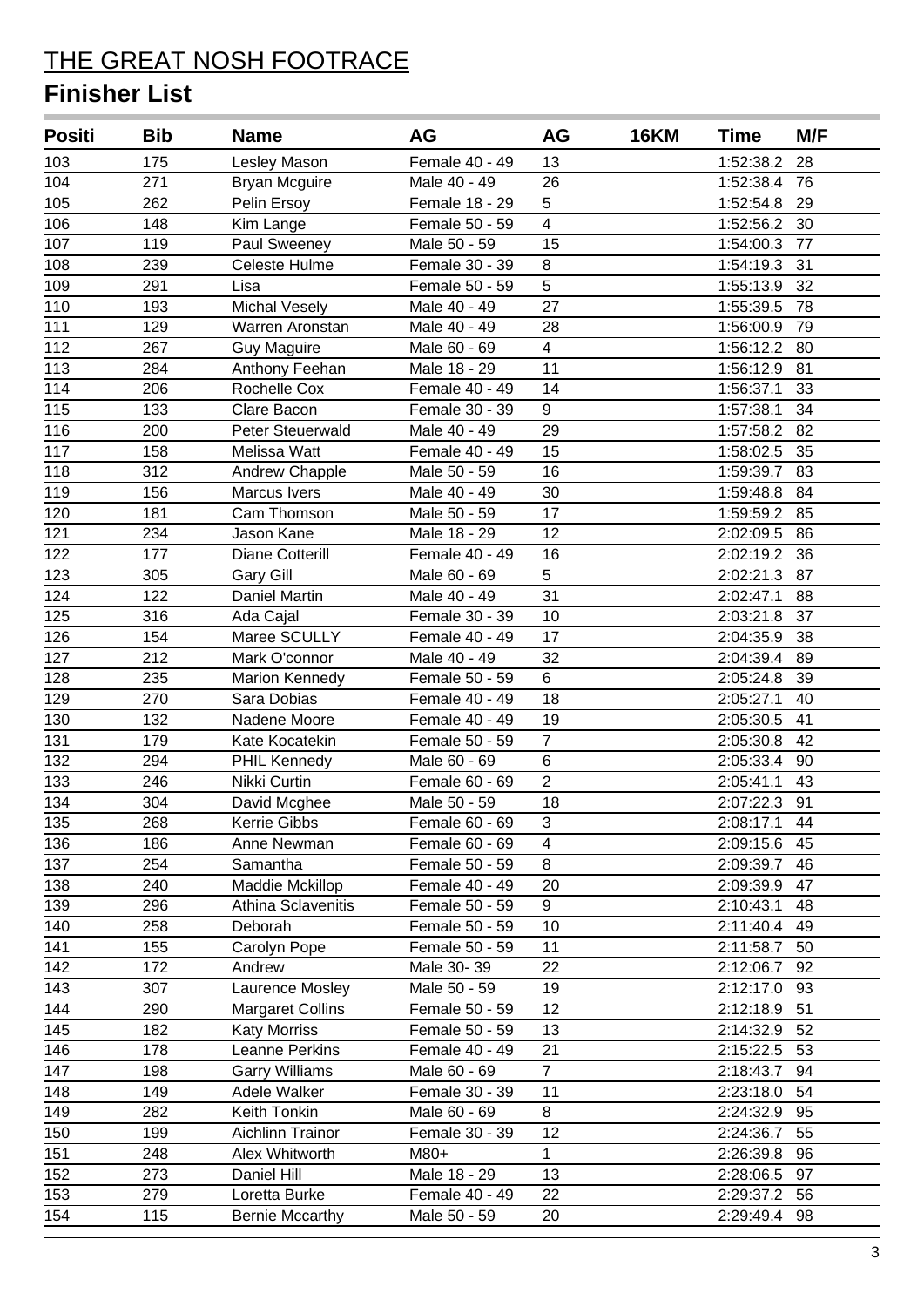| <b>Positi</b> | <b>Bib</b> | <b>Name</b>             | AG             | AG                      | <b>16KM</b> | Time         | M/F |
|---------------|------------|-------------------------|----------------|-------------------------|-------------|--------------|-----|
| 103           | 175        | Lesley Mason            | Female 40 - 49 | 13                      |             | 1:52:38.2    | 28  |
| 104           | 271        | <b>Bryan Mcguire</b>    | Male 40 - 49   | 26                      |             | 1:52:38.4    | 76  |
| 105           | 262        | Pelin Ersoy             | Female 18 - 29 | 5                       |             | 1:52:54.8    | 29  |
| 106           | 148        | Kim Lange               | Female 50 - 59 | $\overline{\mathbf{4}}$ |             | 1:52:56.2 30 |     |
| 107           | 119        | Paul Sweeney            | Male 50 - 59   | 15                      |             | 1:54:00.3    | 77  |
| 108           | 239        | Celeste Hulme           | Female 30 - 39 | 8                       |             | 1:54:19.3    | 31  |
| 109           | 291        | Lisa                    | Female 50 - 59 | $\overline{5}$          |             | 1:55:13.9    | 32  |
| 110           | 193        | <b>Michal Vesely</b>    | Male 40 - 49   | 27                      |             | 1:55:39.5    | 78  |
| 111           | 129        | Warren Aronstan         | Male 40 - 49   | 28                      |             | 1:56:00.9    | 79  |
| 112           | 267        | <b>Guy Maguire</b>      | Male 60 - 69   | $\overline{4}$          |             | 1:56:12.2    | 80  |
| 113           | 284        | Anthony Feehan          | Male 18 - 29   | 11                      |             | 1:56:12.9    | 81  |
| 114           | 206        | Rochelle Cox            | Female 40 - 49 | 14                      |             | 1:56:37.1    | 33  |
| 115           | 133        | Clare Bacon             | Female 30 - 39 | 9                       |             | 1:57:38.1    | 34  |
| 116           | 200        | Peter Steuerwald        | Male 40 - 49   | 29                      |             | 1:57:58.2    | 82  |
| 117           | 158        | Melissa Watt            | Female 40 - 49 | 15                      |             | 1:58:02.5    | 35  |
| 118           | 312        | Andrew Chapple          | Male 50 - 59   | 16                      |             | 1:59:39.7    | 83  |
| 119           | 156        | Marcus Ivers            | Male 40 - 49   | 30                      |             | 1:59:48.8    | 84  |
| 120           | 181        | Cam Thomson             | Male 50 - 59   | 17                      |             | 1:59:59.2 85 |     |
| 121           | 234        | Jason Kane              | Male 18 - 29   | 12                      |             | 2:02:09.5    | 86  |
| 122           | 177        | Diane Cotterill         | Female 40 - 49 | 16                      |             | 2:02:19.2    | 36  |
| 123           | 305        | <b>Gary Gill</b>        | Male 60 - 69   | 5                       |             | 2:02:21.3    | 87  |
| 124           | 122        | Daniel Martin           | Male 40 - 49   | 31                      |             | 2:02:47.1    | 88  |
| 125           | 316        | Ada Cajal               | Female 30 - 39 | 10                      |             | 2:03:21.8    | 37  |
| 126           | 154        | Maree SCULLY            | Female 40 - 49 | 17                      |             | 2:04:35.9    | 38  |
| 127           | 212        | Mark O'connor           | Male 40 - 49   | 32                      |             | 2:04:39.4    | 89  |
| 128           | 235        | <b>Marion Kennedy</b>   | Female 50 - 59 | 6                       |             | 2:05:24.8    | 39  |
| 129           | 270        | Sara Dobias             | Female 40 - 49 | 18                      |             | 2:05:27.1    | 40  |
| 130           | 132        | Nadene Moore            | Female 40 - 49 | 19                      |             | 2:05:30.5    | 41  |
| 131           | 179        | Kate Kocatekin          | Female 50 - 59 | $\overline{7}$          |             | 2:05:30.8    | 42  |
| 132           | 294        | PHIL Kennedy            | Male 60 - 69   | 6                       |             | 2:05:33.4    | 90  |
| 133           | 246        | Nikki Curtin            | Female 60 - 69 | $\overline{2}$          |             | 2:05:41.1    | 43  |
| 134           | 304        | David Mcghee            | Male 50 - 59   | 18                      |             | 2:07:22.3    | 91  |
| 135           | 268        | <b>Kerrie Gibbs</b>     | Female 60 - 69 | 3                       |             | 2:08:17.1    | 44  |
| 136           | 186        | Anne Newman             | Female 60 - 69 | $\overline{4}$          |             | 2:09:15.6    | 45  |
| 137           | 254        | Samantha                | Female 50 - 59 | 8                       |             | 2:09:39.7    | 46  |
| 138           | 240        | Maddie Mckillop         | Female 40 - 49 | 20                      |             | 2:09:39.9    | 47  |
| 139           | 296        | Athina Sclavenitis      | Female 50 - 59 | 9                       |             | 2:10:43.1    | 48  |
| 140           | 258        | Deborah                 | Female 50 - 59 | 10                      |             | 2:11:40.4    | 49  |
| 141           | 155        | Carolyn Pope            | Female 50 - 59 | 11                      |             | 2:11:58.7    | 50  |
| 142           | 172        | Andrew                  | Male 30-39     | 22                      |             | 2:12:06.7    | 92  |
| 143           | 307        | Laurence Mosley         | Male 50 - 59   | 19                      |             | 2:12:17.0    | 93  |
| 144           | 290        | <b>Margaret Collins</b> | Female 50 - 59 | 12                      |             | 2:12:18.9    | 51  |
| 145           | 182        | <b>Katy Morriss</b>     | Female 50 - 59 | 13                      |             | 2:14:32.9    | 52  |
| 146           | 178        | Leanne Perkins          | Female 40 - 49 | 21                      |             | 2:15:22.5    | 53  |
| 147           | 198        | <b>Garry Williams</b>   | Male 60 - 69   | $\overline{7}$          |             | 2:18:43.7    | 94  |
| 148           | 149        | Adele Walker            | Female 30 - 39 | 11                      |             | 2:23:18.0    | 54  |
| 149           | 282        | Keith Tonkin            | Male 60 - 69   | 8                       |             | 2:24:32.9    | 95  |
| 150           | 199        | Aichlinn Trainor        | Female 30 - 39 | 12                      |             | 2:24:36.7    | 55  |
| 151           | 248        | Alex Whitworth          | M80+           | $\mathbf{1}$            |             | 2:26:39.8    | 96  |
| 152           | 273        | Daniel Hill             | Male 18 - 29   | 13                      |             | 2:28:06.5    | 97  |
| 153           | 279        | Loretta Burke           | Female 40 - 49 | 22                      |             | 2:29:37.2    | 56  |
| 154           | 115        | <b>Bernie Mccarthy</b>  | Male 50 - 59   | 20                      |             | 2:29:49.4    | 98  |
|               |            |                         |                |                         |             |              |     |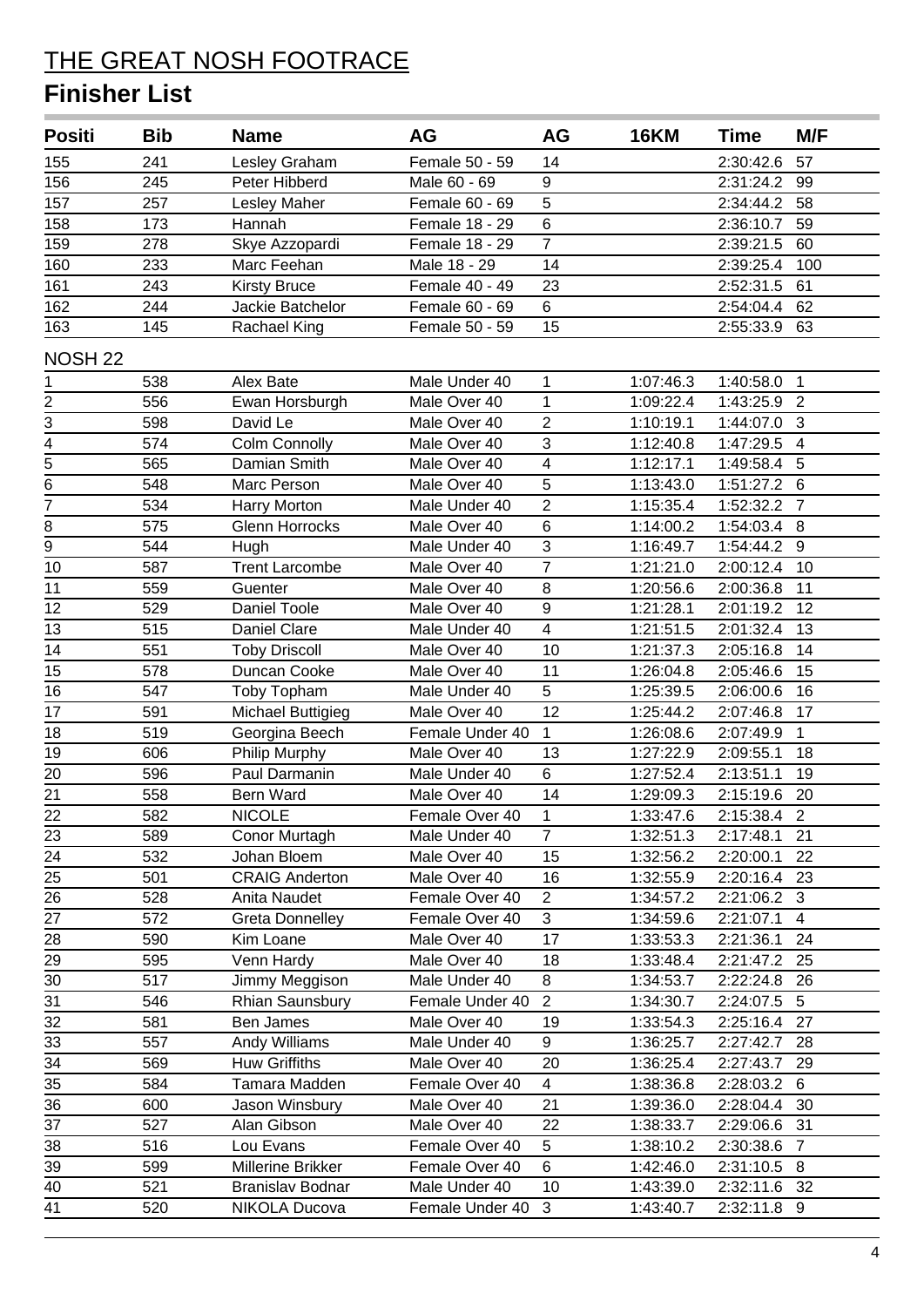| <b>Positi</b>           | <b>Bib</b> | <b>Name</b>              | AG              | AG                      | <b>16KM</b> | <b>Time</b>  | M/F            |
|-------------------------|------------|--------------------------|-----------------|-------------------------|-------------|--------------|----------------|
| 155                     | 241        | Lesley Graham            | Female 50 - 59  | 14                      |             | 2:30:42.6    | 57             |
| 156                     | 245        | Peter Hibberd            | Male 60 - 69    | 9                       |             | 2:31:24.2    | 99             |
| 157                     | 257        | Lesley Maher             | Female 60 - 69  | 5                       |             | 2:34:44.2    | 58             |
| 158                     | 173        | Hannah                   | Female 18 - 29  | $\overline{6}$          |             | 2:36:10.7    | 59             |
| 159                     | 278        | Skye Azzopardi           | Female 18 - 29  | $\overline{7}$          |             | 2:39:21.5    | 60             |
| 160                     | 233        | Marc Feehan              | Male 18 - 29    | 14                      |             | 2:39:25.4    | 100            |
| 161                     | 243        | <b>Kirsty Bruce</b>      | Female 40 - 49  | 23                      |             | 2:52:31.5    | 61             |
| 162                     | 244        | Jackie Batchelor         | Female 60 - 69  | 6                       |             | 2:54:04.4    | 62             |
| 163                     | 145        | Rachael King             | Female 50 - 59  | 15                      |             | 2:55:33.9    | 63             |
| NOSH <sub>22</sub>      |            |                          |                 |                         |             |              |                |
| 1                       | 538        | Alex Bate                | Male Under 40   | 1                       | 1:07:46.3   | 1:40:58.0    | $\overline{1}$ |
| $\overline{\mathbf{c}}$ | 556        | Ewan Horsburgh           | Male Over 40    | $\mathbf{1}$            | 1:09:22.4   | 1:43:25.9    | $\overline{2}$ |
| 3                       | 598        | David Le                 | Male Over 40    | $\overline{2}$          | 1:10:19.1   | 1:44:07.0    | $\overline{3}$ |
| $\overline{4}$          | 574        | <b>Colm Connolly</b>     | Male Over 40    | $\overline{3}$          | 1:12:40.8   | 1:47:29.5    | $\overline{4}$ |
| 5                       | 565        | Damian Smith             | Male Over 40    | $\overline{\mathbf{4}}$ | 1:12:17.1   | 1:49:58.4    | 5              |
| $\overline{6}$          | 548        | Marc Person              | Male Over 40    | $\overline{5}$          | 1:13:43.0   | 1:51:27.2 6  |                |
| $\overline{7}$          | 534        | Harry Morton             | Male Under 40   | $\overline{2}$          | 1:15:35.4   | 1:52:32.2    | $\overline{7}$ |
| 8                       | 575        | <b>Glenn Horrocks</b>    | Male Over 40    | 6                       | 1:14:00.2   | 1:54:03.4 8  |                |
| 9                       | 544        | Hugh                     | Male Under 40   | $\overline{3}$          | 1:16:49.7   | 1:54:44.2 9  |                |
| 10                      | 587        | <b>Trent Larcombe</b>    | Male Over 40    | $\overline{7}$          | 1:21:21.0   | 2:00:12.4    | 10             |
| 11                      | 559        | Guenter                  | Male Over 40    | 8                       | 1:20:56.6   | 2:00:36.8    | 11             |
| 12                      | 529        | Daniel Toole             | Male Over 40    | $\overline{9}$          | 1:21:28.1   | 2:01:19.2    | 12             |
| 13                      | 515        | Daniel Clare             | Male Under 40   | $\overline{\mathbf{4}}$ | 1:21:51.5   | 2:01:32.4    | 13             |
| 14                      | 551        | <b>Toby Driscoll</b>     | Male Over 40    | 10                      | 1:21:37.3   | 2:05:16.8    | 14             |
| 15                      | 578        | Duncan Cooke             | Male Over 40    | 11                      | 1:26:04.8   | 2:05:46.6    | 15             |
| 16                      | 547        | <b>Toby Topham</b>       | Male Under 40   | $\overline{5}$          | 1:25:39.5   | 2:06:00.6    | 16             |
| 17                      | 591        | <b>Michael Buttigieg</b> | Male Over 40    | 12                      | 1:25:44.2   | 2:07:46.8    | 17             |
| 18                      | 519        | Georgina Beech           | Female Under 40 | $\mathbf{1}$            | 1:26:08.6   | 2:07:49.9    | $\mathbf{1}$   |
| 19                      | 606        | Philip Murphy            | Male Over 40    | 13                      | 1:27:22.9   | 2:09:55.1    | 18             |
| 20                      | 596        | Paul Darmanin            | Male Under 40   | 6                       | 1:27:52.4   | 2:13:51.1    | 19             |
| $\overline{21}$         | 558        | Bern Ward                | Male Over 40    | 14                      | 1:29:09.3   | 2:15:19.6    | 20             |
| 22                      | 582        | <b>NICOLE</b>            | Female Over 40  | $\mathbf{1}$            | 1:33:47.6   | 2:15:38.4    | $\sqrt{2}$     |
| 23                      | 589        | Conor Murtagh            | Male Under 40   | $\overline{7}$          | 1:32:51.3   | 2:17:48.1    | 21             |
| 24                      | 532        | Johan Bloem              | Male Over 40    | 15                      | 1:32:56.2   | 2:20:00.1    | 22             |
| 25                      | 501        | <b>CRAIG Anderton</b>    | Male Over 40    | 16                      | 1:32:55.9   | 2:20:16.4    | 23             |
| 26                      | 528        | Anita Naudet             | Female Over 40  | $\overline{2}$          | 1:34:57.2   | 2:21:06.2 3  |                |
| 27                      | 572        | <b>Greta Donnelley</b>   | Female Over 40  | 3                       | 1:34:59.6   | 2:21:07.1    | $\overline{4}$ |
| 28                      | 590        | Kim Loane                | Male Over 40    | 17                      | 1:33:53.3   | 2:21:36.1    | 24             |
| 29                      | 595        | Venn Hardy               | Male Over 40    | 18                      | 1:33:48.4   | 2:21:47.2    | 25             |
| 30                      | 517        | Jimmy Meggison           | Male Under 40   | 8                       | 1:34:53.7   | 2:22:24.8    | 26             |
| 31                      | 546        | Rhian Saunsbury          | Female Under 40 | $\overline{2}$          | 1:34:30.7   | 2:24:07.5 5  |                |
| 32                      | 581        | Ben James                | Male Over 40    | 19                      | 1:33:54.3   | 2:25:16.4    | 27             |
| 33                      | 557        | Andy Williams            | Male Under 40   | 9                       | 1:36:25.7   | 2:27:42.7 28 |                |
| 34                      | 569        | <b>Huw Griffiths</b>     | Male Over 40    | 20                      | 1:36:25.4   | 2:27:43.7 29 |                |
| 35                      | 584        | Tamara Madden            | Female Over 40  | $\overline{4}$          | 1:38:36.8   | 2:28:03.2 6  |                |
| 36                      | 600        | Jason Winsbury           | Male Over 40    | 21                      | 1:39:36.0   | 2:28:04.4    | 30             |
| 37                      | 527        | Alan Gibson              | Male Over 40    | 22                      | 1:38:33.7   | 2:29:06.6    | 31             |
| 38                      | 516        | Lou Evans                | Female Over 40  | 5                       | 1:38:10.2   | 2:30:38.6    | $\overline{7}$ |
| 39                      | 599        | Millerine Brikker        | Female Over 40  | 6                       | 1:42:46.0   | 2:31:10.5    | 8              |
| 40                      | 521        | <b>Branislav Bodnar</b>  | Male Under 40   | 10                      | 1:43:39.0   | 2:32:11.6    | -32            |
| 41                      | 520        | NIKOLA Ducova            | Female Under 40 | 3                       | 1:43:40.7   | 2:32:11.8 9  |                |